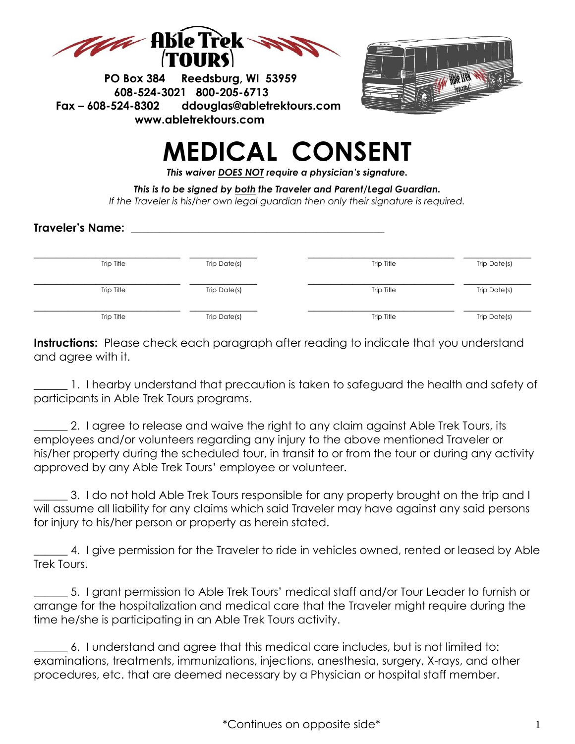

 **PO Box 384 Reedsburg, WI 53959 608-524-3021 800-205-6713 Fax – 608-524-8302 [ddouglas@abletrektours.com](mailto:ddouglas@abletrektours.com) www.abletrektours.com** 



## **MEDICAL CONSENT**

*This waiver DOES NOT require a physician's signature.*

*This is to be signed by both the Traveler and Parent/Legal Guardian. If the Traveler is his/her own legal guardian then only their signature is required.*

## **Traveler's Name: \_\_\_\_\_\_\_\_\_\_\_\_\_\_\_\_\_\_\_\_\_\_\_\_\_\_\_\_\_\_\_\_\_\_\_\_\_\_\_\_\_\_\_\_\_**

| Trip Title | Trip Date(s) | Trip Title | Trip Date(s) |
|------------|--------------|------------|--------------|
|            |              |            |              |
| Trip Title | Trip Date(s) | Trip Title | Trip Date(s) |
|            |              |            |              |
| Trip Title | Trip Date(s) | Trip Title | Trip Date(s) |

**Instructions:** Please check each paragraph after reading to indicate that you understand and agree with it.

1. I hearby understand that precaution is taken to safeguard the health and safety of participants in Able Trek Tours programs.

2. I agree to release and waive the right to any claim against Able Trek Tours, its employees and/or volunteers regarding any injury to the above mentioned Traveler or his/her property during the scheduled tour, in transit to or from the tour or during any activity approved by any Able Trek Tours' employee or volunteer.

\_\_\_\_\_\_ 3. I do not hold Able Trek Tours responsible for any property brought on the trip and I will assume all liability for any claims which said Traveler may have against any said persons for injury to his/her person or property as herein stated.

\_\_\_\_\_\_ 4. I give permission for the Traveler to ride in vehicles owned, rented or leased by Able Trek Tours.

\_\_\_\_\_\_ 5. I grant permission to Able Trek Tours' medical staff and/or Tour Leader to furnish or arrange for the hospitalization and medical care that the Traveler might require during the time he/she is participating in an Able Trek Tours activity.

\_\_\_\_\_\_ 6. I understand and agree that this medical care includes, but is not limited to: examinations, treatments, immunizations, injections, anesthesia, surgery, X-rays, and other procedures, etc. that are deemed necessary by a Physician or hospital staff member.